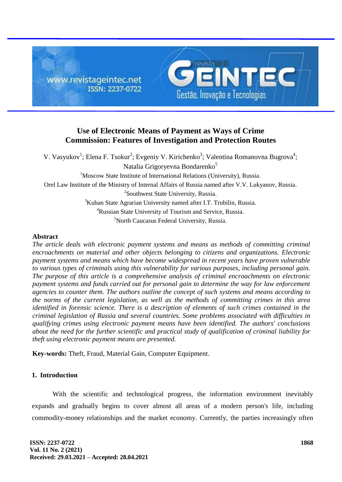

# **Use of Electronic Means of Payment as Ways of Crime Commission: Features of Investigation and Protection Routes**

V. Vasyukov<sup>1</sup>; Elena F. Tsokur<sup>2</sup>; Evgeniy V. Kirichenko<sup>3</sup>; Valentina Romanovna Bugrova<sup>4</sup>; Natalia Grigoryevna Bondarenko<sup>5</sup> <sup>1</sup>Moscow State Institute of International Relations (University), Russia. Orel Law Institute of the Ministry of Internal Affairs of Russia named after V.V. Lukyanov, Russia. <sup>2</sup>Southwest State University, Russia. <sup>3</sup>Kuban State Agrarian University named after I.T. Trubilin, Russia. <sup>4</sup>Russian State University of Tourism and Service, Russia. <sup>5</sup>North Caucasus Federal University, Russia.

#### **Abstract**

*The article deals with electronic payment systems and means as methods of committing criminal encroachments on material and other objects belonging to citizens and organizations. Electronic payment systems and means which have become widespread in recent years have proven vulnerable to various types of criminals using this vulnerability for various purposes, including personal gain. The purpose of this article is a comprehensive analysis of criminal encroachments on electronic payment systems and funds carried out for personal gain to determine the way for law enforcement agencies to counter them. The authors outline the concept of such systems and means according to the norms of the current legislation, as well as the methods of committing crimes in this area identified in forensic science. There is a description of elements of such crimes contained in the criminal legislation of Russia and several countries. Some problems associated with difficulties in qualifying crimes using electronic payment means have been identified. The authors' conclusions about the need for the further scientific and practical study of qualification of criminal liability for theft using electronic payment means are presented.*

**Key-words:** Theft, Fraud, Material Gain, Computer Equipment.

# **1. Introduction**

With the scientific and technological progress, the information environment inevitably expands and gradually begins to cover almost all areas of a modern person's life, including commodity-money relationships and the market economy. Currently, the parties increasingly often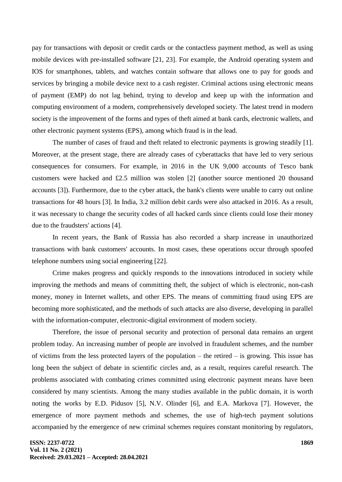pay for transactions with deposit or credit cards or the contactless payment method, as well as using mobile devices with pre-installed software [21, 23]. For example, the Android operating system and IOS for smartphones, tablets, and watches contain software that allows one to pay for goods and services by bringing a mobile device next to a cash register. Criminal actions using electronic means of payment (EMP) do not lag behind, trying to develop and keep up with the information and computing environment of a modern, comprehensively developed society. The latest trend in modern society is the improvement of the forms and types of theft aimed at bank cards, electronic wallets, and other electronic payment systems (EPS), among which fraud is in the lead.

The number of cases of fraud and theft related to electronic payments is growing steadily [1]. Moreover, at the present stage, there are already cases of cyberattacks that have led to very serious consequences for consumers. For example, in 2016 in the UK 9,000 accounts of Tesco bank customers were hacked and £2.5 million was stolen [2] (another source mentioned 20 thousand accounts [3]). Furthermore, due to the cyber attack, the bank's clients were unable to carry out online transactions for 48 hours [3]. In India, 3.2 million debit cards were also attacked in 2016. As a result, it was necessary to change the security codes of all hacked cards since clients could lose their money due to the fraudsters' actions [4].

In recent years, the Bank of Russia has also recorded a sharp increase in unauthorized transactions with bank customers' accounts. In most cases, these operations occur through spoofed telephone numbers using social engineering [22].

Crime makes progress and quickly responds to the innovations introduced in society while improving the methods and means of committing theft, the subject of which is electronic, non-cash money, money in Internet wallets, and other EPS. The means of committing fraud using EPS are becoming more sophisticated, and the methods of such attacks are also diverse, developing in parallel with the information-computer, electronic-digital environment of modern society.

Therefore, the issue of personal security and protection of personal data remains an urgent problem today. An increasing number of people are involved in fraudulent schemes, and the number of victims from the less protected layers of the population – the retired – is growing. This issue has long been the subject of debate in scientific circles and, as a result, requires careful research. The problems associated with combating crimes committed using electronic payment means have been considered by many scientists. Among the many studies available in the public domain, it is worth noting the works by E.D. Pidusov [5], N.V. Olinder [6], and E.A. Markova [7]. However, the emergence of more payment methods and schemes, the use of high-tech payment solutions accompanied by the emergence of new criminal schemes requires constant monitoring by regulators,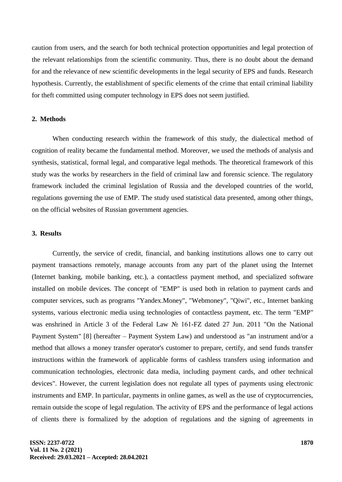caution from users, and the search for both technical protection opportunities and legal protection of the relevant relationships from the scientific community. Thus, there is no doubt about the demand for and the relevance of new scientific developments in the legal security of EPS and funds. Research hypothesis. Currently, the establishment of specific elements of the crime that entail criminal liability for theft committed using computer technology in EPS does not seem justified.

#### **2. Methods**

When conducting research within the framework of this study, the dialectical method of cognition of reality became the fundamental method. Moreover, we used the methods of analysis and synthesis, statistical, formal legal, and comparative legal methods. The theoretical framework of this study was the works by researchers in the field of criminal law and forensic science. The regulatory framework included the criminal legislation of Russia and the developed countries of the world, regulations governing the use of EMP. The study used statistical data presented, among other things, on the official websites of Russian government agencies.

#### **3. Results**

Currently, the service of credit, financial, and banking institutions allows one to carry out payment transactions remotely, manage accounts from any part of the planet using the Internet (Internet banking, mobile banking, etc.), a contactless payment method, and specialized software installed on mobile devices. The concept of "EMP" is used both in relation to payment cards and computer services, such as programs "Yandex.Money", "Webmoney", "Qiwi", etc., Internet banking systems, various electronic media using technologies of contactless payment, etc. The term "EMP" was enshrined in Article 3 of the Federal Law № 161-FZ dated 27 Jun. 2011 "On the National Payment System" [8] (hereafter – Payment System Law) and understood as "an instrument and/or a method that allows a money transfer operator's customer to prepare, certify, and send funds transfer instructions within the framework of applicable forms of cashless transfers using information and communication technologies, electronic data media, including payment cards, and other technical devices". However, the current legislation does not regulate all types of payments using electronic instruments and EMP. In particular, payments in online games, as well as the use of cryptocurrencies, remain outside the scope of legal regulation. The activity of EPS and the performance of legal actions of clients there is formalized by the adoption of regulations and the signing of agreements in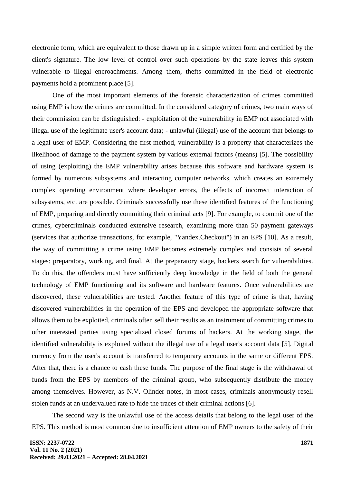electronic form, which are equivalent to those drawn up in a simple written form and certified by the client's signature. The low level of control over such operations by the state leaves this system vulnerable to illegal encroachments. Among them, thefts committed in the field of electronic payments hold a prominent place [5].

One of the most important elements of the forensic characterization of crimes committed using EMP is how the crimes are committed. In the considered category of crimes, two main ways of their commission can be distinguished: - exploitation of the vulnerability in EMP not associated with illegal use of the legitimate user's account data; - unlawful (illegal) use of the account that belongs to a legal user of EMP. Considering the first method, vulnerability is a property that characterizes the likelihood of damage to the payment system by various external factors (means) [5]. The possibility of using (exploiting) the EMP vulnerability arises because this software and hardware system is formed by numerous subsystems and interacting computer networks, which creates an extremely complex operating environment where developer errors, the effects of incorrect interaction of subsystems, etc. are possible. Criminals successfully use these identified features of the functioning of EMP, preparing and directly committing their criminal acts [9]. For example, to commit one of the crimes, cybercriminals conducted extensive research, examining more than 50 payment gateways (services that authorize transactions, for example, "Yandex.Checkout") in an EPS [10]. As a result, the way of committing a crime using EMP becomes extremely complex and consists of several stages: preparatory, working, and final. At the preparatory stage, hackers search for vulnerabilities. To do this, the offenders must have sufficiently deep knowledge in the field of both the general technology of EMP functioning and its software and hardware features. Once vulnerabilities are discovered, these vulnerabilities are tested. Another feature of this type of crime is that, having discovered vulnerabilities in the operation of the EPS and developed the appropriate software that allows them to be exploited, criminals often sell their results as an instrument of committing crimes to other interested parties using specialized closed forums of hackers. At the working stage, the identified vulnerability is exploited without the illegal use of a legal user's account data [5]. Digital currency from the user's account is transferred to temporary accounts in the same or different EPS. After that, there is a chance to cash these funds. The purpose of the final stage is the withdrawal of funds from the EPS by members of the criminal group, who subsequently distribute the money among themselves. However, as N.V. Olinder notes, in most cases, criminals anonymously resell stolen funds at an undervalued rate to hide the traces of their criminal actions [6].

The second way is the unlawful use of the access details that belong to the legal user of the EPS. This method is most common due to insufficient attention of EMP owners to the safety of their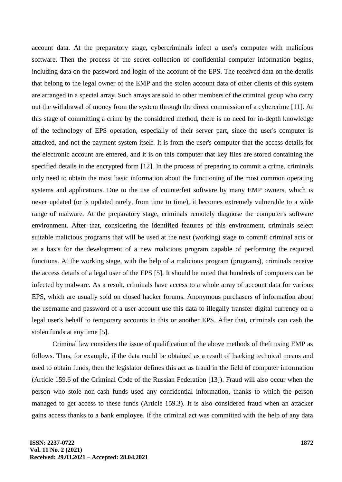account data. At the preparatory stage, cybercriminals infect a user's computer with malicious software. Then the process of the secret collection of confidential computer information begins, including data on the password and login of the account of the EPS. The received data on the details that belong to the legal owner of the EMP and the stolen account data of other clients of this system are arranged in a special array. Such arrays are sold to other members of the criminal group who carry out the withdrawal of money from the system through the direct commission of a cybercrime [11]. At this stage of committing a crime by the considered method, there is no need for in-depth knowledge of the technology of EPS operation, especially of their server part, since the user's computer is attacked, and not the payment system itself. It is from the user's computer that the access details for the electronic account are entered, and it is on this computer that key files are stored containing the specified details in the encrypted form [12]. In the process of preparing to commit a crime, criminals only need to obtain the most basic information about the functioning of the most common operating systems and applications. Due to the use of counterfeit software by many EMP owners, which is never updated (or is updated rarely, from time to time), it becomes extremely vulnerable to a wide range of malware. At the preparatory stage, criminals remotely diagnose the computer's software environment. After that, considering the identified features of this environment, criminals select suitable malicious programs that will be used at the next (working) stage to commit criminal acts or as a basis for the development of a new malicious program capable of performing the required functions. At the working stage, with the help of a malicious program (programs), criminals receive the access details of a legal user of the EPS [5]. It should be noted that hundreds of computers can be infected by malware. As a result, criminals have access to a whole array of account data for various EPS, which are usually sold on closed hacker forums. Anonymous purchasers of information about the username and password of a user account use this data to illegally transfer digital currency on a legal user's behalf to temporary accounts in this or another EPS. After that, criminals can cash the stolen funds at any time [5].

Criminal law considers the issue of qualification of the above methods of theft using EMP as follows. Thus, for example, if the data could be obtained as a result of hacking technical means and used to obtain funds, then the legislator defines this act as fraud in the field of computer information (Article 159.6 of the Criminal Code of the Russian Federation [13]). Fraud will also occur when the person who stole non-cash funds used any confidential information, thanks to which the person managed to get access to these funds (Article 159.3). It is also considered fraud when an attacker gains access thanks to a bank employee. If the criminal act was committed with the help of any data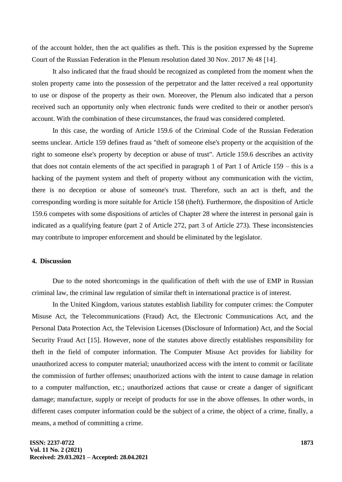of the account holder, then the act qualifies as theft. This is the position expressed by the Supreme Court of the Russian Federation in the Plenum resolution dated 30 Nov. 2017 № 48 [14].

It also indicated that the fraud should be recognized as completed from the moment when the stolen property came into the possession of the perpetrator and the latter received a real opportunity to use or dispose of the property as their own. Moreover, the Plenum also indicated that a person received such an opportunity only when electronic funds were credited to their or another person's account. With the combination of these circumstances, the fraud was considered completed.

In this case, the wording of Article 159.6 of the Criminal Code of the Russian Federation seems unclear. Article 159 defines fraud as "theft of someone else's property or the acquisition of the right to someone else's property by deception or abuse of trust". Article 159.6 describes an activity that does not contain elements of the act specified in paragraph 1 of Part 1 of Article 159 – this is a hacking of the payment system and theft of property without any communication with the victim, there is no deception or abuse of someone's trust. Therefore, such an act is theft, and the corresponding wording is more suitable for Article 158 (theft). Furthermore, the disposition of Article 159.6 competes with some dispositions of articles of Chapter 28 where the interest in personal gain is indicated as a qualifying feature (part 2 of Article 272, part 3 of Article 273). These inconsistencies may contribute to improper enforcement and should be eliminated by the legislator.

## **4. Discussion**

Due to the noted shortcomings in the qualification of theft with the use of EMP in Russian criminal law, the criminal law regulation of similar theft in international practice is of interest.

In the United Kingdom, various statutes establish liability for computer crimes: the Computer Misuse Act, the Telecommunications (Fraud) Act, the Electronic Communications Act, and the Personal Data Protection Act, the Television Licenses (Disclosure of Information) Act, and the Social Security Fraud Act [15]. However, none of the statutes above directly establishes responsibility for theft in the field of computer information. The Computer Misuse Act provides for liability for unauthorized access to computer material; unauthorized access with the intent to commit or facilitate the commission of further offenses; unauthorized actions with the intent to cause damage in relation to a computer malfunction, etc.; unauthorized actions that cause or create a danger of significant damage; manufacture, supply or receipt of products for use in the above offenses. In other words, in different cases computer information could be the subject of a crime, the object of a crime, finally, a means, a method of committing a crime.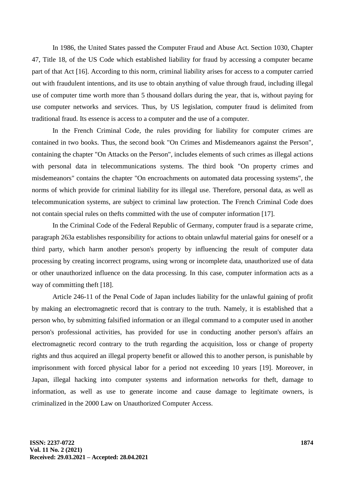In 1986, the United States passed the Computer Fraud and Abuse Act. Section 1030, Chapter 47, Title 18, of the US Code which established liability for fraud by accessing a computer became part of that Act [16]. According to this norm, criminal liability arises for access to a computer carried out with fraudulent intentions, and its use to obtain anything of value through fraud, including illegal use of computer time worth more than 5 thousand dollars during the year, that is, without paying for use computer networks and services. Thus, by US legislation, computer fraud is delimited from traditional fraud. Its essence is access to a computer and the use of a computer.

In the French Criminal Code, the rules providing for liability for computer crimes are contained in two books. Thus, the second book "On Crimes and Misdemeanors against the Person", containing the chapter "On Attacks on the Person", includes elements of such crimes as illegal actions with personal data in telecommunications systems. The third book "On property crimes and misdemeanors" contains the chapter "On encroachments on automated data processing systems", the norms of which provide for criminal liability for its illegal use. Therefore, personal data, as well as telecommunication systems, are subject to criminal law protection. The French Criminal Code does not contain special rules on thefts committed with the use of computer information [17].

In the Criminal Code of the Federal Republic of Germany, computer fraud is a separate crime, paragraph 263a establishes responsibility for actions to obtain unlawful material gains for oneself or a third party, which harm another person's property by influencing the result of computer data processing by creating incorrect programs, using wrong or incomplete data, unauthorized use of data or other unauthorized influence on the data processing. In this case, computer information acts as a way of committing theft [18].

Article 246-11 of the Penal Code of Japan includes liability for the unlawful gaining of profit by making an electromagnetic record that is contrary to the truth. Namely, it is established that a person who, by submitting falsified information or an illegal command to a computer used in another person's professional activities, has provided for use in conducting another person's affairs an electromagnetic record contrary to the truth regarding the acquisition, loss or change of property rights and thus acquired an illegal property benefit or allowed this to another person, is punishable by imprisonment with forced physical labor for a period not exceeding 10 years [19]. Moreover, in Japan, illegal hacking into computer systems and information networks for theft, damage to information, as well as use to generate income and cause damage to legitimate owners, is criminalized in the 2000 Law on Unauthorized Computer Access.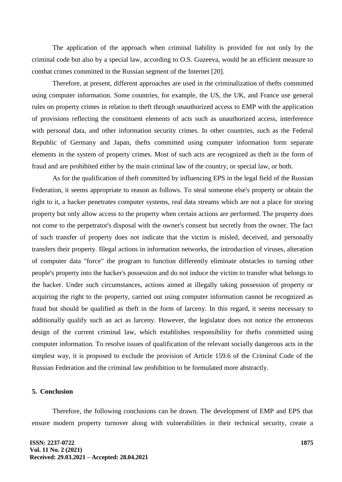The application of the approach when criminal liability is provided for not only by the criminal code but also by a special law, according to O.S. Guzeeva, would be an efficient measure to combat crimes committed in the Russian segment of the Internet [20].

Therefore, at present, different approaches are used in the criminalization of thefts committed using computer information. Some countries, for example, the US, the UK, and France use general rules on property crimes in relation to theft through unauthorized access to EMP with the application of provisions reflecting the constituent elements of acts such as unauthorized access, interference with personal data, and other information security crimes. In other countries, such as the Federal Republic of Germany and Japan, thefts committed using computer information form separate elements in the system of property crimes. Most of such acts are recognized as theft in the form of fraud and are prohibited either by the main criminal law of the country, or special law, or both.

As for the qualification of theft committed by influencing EPS in the legal field of the Russian Federation, it seems appropriate to reason as follows. To steal someone else's property or obtain the right to it, a hacker penetrates computer systems, real data streams which are not a place for storing property but only allow access to the property when certain actions are performed. The property does not come to the perpetrator's disposal with the owner's consent but secretly from the owner. The fact of such transfer of property does not indicate that the victim is misled, deceived, and personally transfers their property. Illegal actions in information networks, the introduction of viruses, alteration of computer data "force" the program to function differently eliminate obstacles to turning other people's property into the hacker's possession and do not induce the victim to transfer what belongs to the hacker. Under such circumstances, actions aimed at illegally taking possession of property or acquiring the right to the property, carried out using computer information cannot be recognized as fraud but should be qualified as theft in the form of larceny. In this regard, it seems necessary to additionally qualify such an act as larceny. However, the legislator does not notice the erroneous design of the current criminal law, which establishes responsibility for thefts committed using computer information. To resolve issues of qualification of the relevant socially dangerous acts in the simplest way, it is proposed to exclude the provision of Article 159.6 of the Criminal Code of the Russian Federation and the criminal law prohibition to be formulated more abstractly.

# **5. Conclusion**

Therefore, the following conclusions can be drawn. The development of EMP and EPS that ensure modern property turnover along with vulnerabilities in their technical security, create a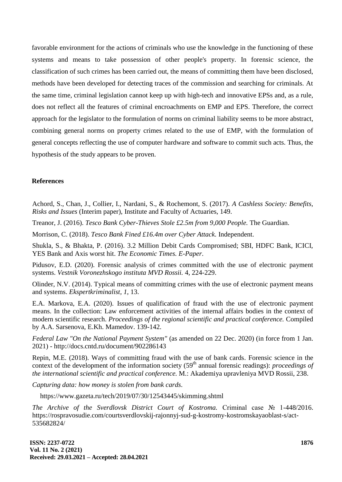favorable environment for the actions of criminals who use the knowledge in the functioning of these systems and means to take possession of other people's property. In forensic science, the classification of such crimes has been carried out, the means of committing them have been disclosed, methods have been developed for detecting traces of the commission and searching for criminals. At the same time, criminal legislation cannot keep up with high-tech and innovative EPSs and, as a rule, does not reflect all the features of criminal encroachments on EMP and EPS. Therefore, the correct approach for the legislator to the formulation of norms on criminal liability seems to be more abstract, combining general norms on property crimes related to the use of EMP, with the formulation of general concepts reflecting the use of computer hardware and software to commit such acts. Thus, the hypothesis of the study appears to be proven.

## **References**

Achord, S., Chan, J., Collier, I., Nardani, S., & Rochemont, S. (2017). *A Cashless Society: Benefits, Risks and Issues* (Interim paper), Institute and Faculty of Actuaries, 149.

Treanor, J. (2016). *Tesco Bank Cyber-Thieves Stole £2.5m from 9,000 People.* The Guardian.

Morrison, C. (2018). *Tesco Bank Fined £16.4m over Cyber Attack.* Independent.

Shukla, S., & Bhakta, P. (2016). 3.2 Million Debit Cards Compromised; SBI, HDFC Bank, ICICI, YES Bank and Axis worst hit. *The Economic Times. E-Paper*.

Pidusov, E.D. (2020). Forensic analysis of crimes committed with the use of electronic payment systems. *Vestnik Voronezhskogo instituta MVD Rossii.* 4, 224-229.

Olinder, N.V. (2014). Typical means of committing crimes with the use of electronic payment means and systems. *Ekspertkriminalist, 1,* 13.

E.A. Markova, E.A. (2020). Issues of qualification of fraud with the use of electronic payment means. In the collection: Law enforcement activities of the internal affairs bodies in the context of modern scientific research. *Proceedings of the regional scientific and practical conference.* Compiled by A.A. Sarsenova, E.Kh. Mamedov. 139-142.

*Federal Law "On the National Payment System"* (as amended on 22 Dec. 2020) (in force from 1 Jan. 2021) - http://docs.cntd.ru/document/902286143

Repin, M.E. (2018). Ways of committing fraud with the use of bank cards. Forensic science in the context of the development of the information society (59<sup>th</sup> annual forensic readings): *proceedings of the international scientific and practical conference.* M.: Akademiya upravleniya MVD Rossii, 238.

*Capturing data: how money is stolen from bank cards.*

https://www.gazeta.ru/tech/2019/07/30/12543445/skimming.shtml

*The Archive of the Sverdlovsk District Court of Kostroma.* Criminal case № 1-448/2016. https://rospravosudie.com/courtsverdlovskij-rajonnyj-sud-g-kostromy-kostromskayaoblast-s/act-535682824/